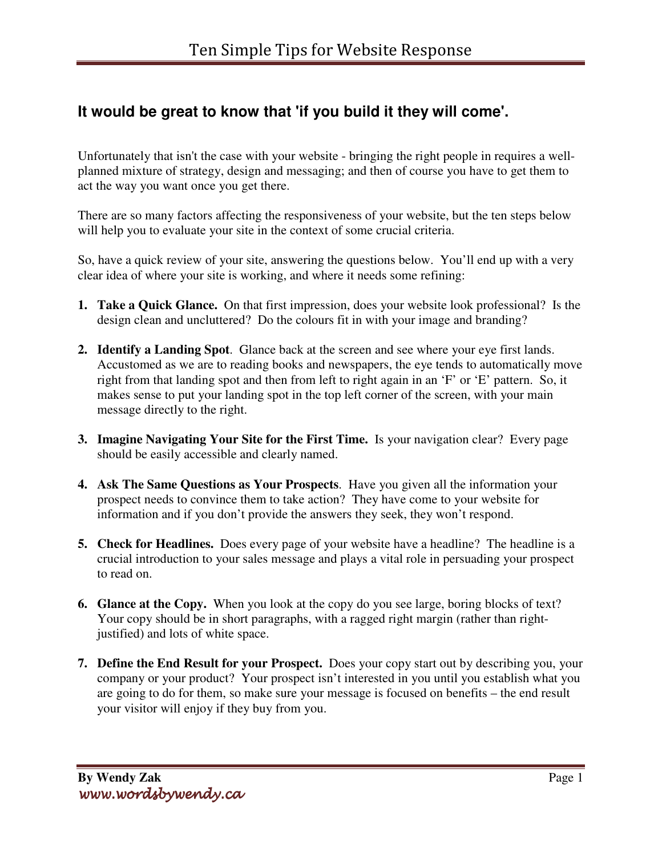## **It would be great to know that 'if you build it they will come'.**

Unfortunately that isn't the case with your website - bringing the right people in requires a wellplanned mixture of strategy, design and messaging; and then of course you have to get them to act the way you want once you get there.

There are so many factors affecting the responsiveness of your website, but the ten steps below will help you to evaluate your site in the context of some crucial criteria.

So, have a quick review of your site, answering the questions below. You'll end up with a very clear idea of where your site is working, and where it needs some refining:

- **1. Take a Quick Glance.** On that first impression, does your website look professional? Is the design clean and uncluttered? Do the colours fit in with your image and branding?
- **2. Identify a Landing Spot**. Glance back at the screen and see where your eye first lands. Accustomed as we are to reading books and newspapers, the eye tends to automatically move right from that landing spot and then from left to right again in an 'F' or 'E' pattern. So, it makes sense to put your landing spot in the top left corner of the screen, with your main message directly to the right.
- **3. Imagine Navigating Your Site for the First Time.** Is your navigation clear? Every page should be easily accessible and clearly named.
- **4. Ask The Same Questions as Your Prospects**. Have you given all the information your prospect needs to convince them to take action? They have come to your website for information and if you don't provide the answers they seek, they won't respond.
- **5. Check for Headlines.** Does every page of your website have a headline? The headline is a crucial introduction to your sales message and plays a vital role in persuading your prospect to read on.
- **6. Glance at the Copy.** When you look at the copy do you see large, boring blocks of text? Your copy should be in short paragraphs, with a ragged right margin (rather than rightjustified) and lots of white space.
- **7. Define the End Result for your Prospect.** Does your copy start out by describing you, your company or your product? Your prospect isn't interested in you until you establish what you are going to do for them, so make sure your message is focused on benefits – the end result your visitor will enjoy if they buy from you.